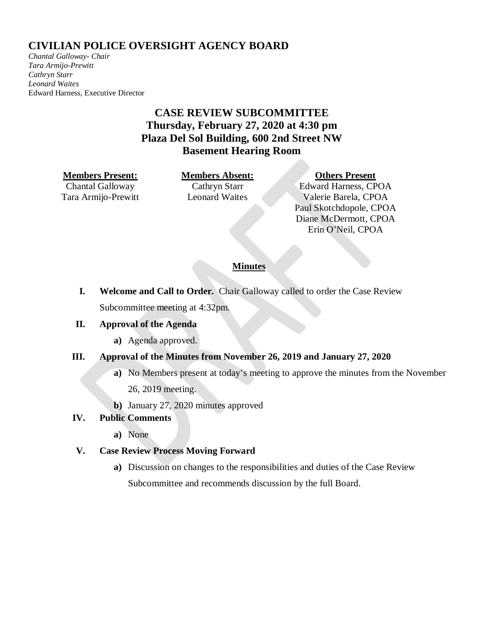# **CIVILIAN POLICE OVERSIGHT AGENCY BOARD**

*Chantal Galloway- Chair Tara Armijo-Prewitt Cathryn Starr Leonard Waites*  Edward Harness, Executive Director

# **CASE REVIEW SUBCOMMITTEE Thursday, February 27, 2020 at 4:30 pm Plaza Del Sol Building, 600 2nd Street NW Basement Hearing Room**

#### **Members Present: Members Absent: Others Present**

Chantal Galloway Tara Armijo-Prewitt

Cathryn Starr Leonard Waites

Edward Harness, CPOA Valerie Barela, CPOA Paul Skotchdopole, CPOA Diane McDermott, CPOA Erin O'Neil, CPOA

### **Minutes**

**I. Welcome and Call to Order.** Chair Galloway called to order the Case Review Subcommittee meeting at 4:32pm.

### **II. Approval of the Agenda**

**a)** Agenda approved.

## **III. Approval of the Minutes from November 26, 2019 and January 27, 2020**

- **a)** No Members present at today's meeting to approve the minutes from the November
	- 26, 2019 meeting.
- **b)** January 27, 2020 minutes approved

### **IV. Public Comments**

**a)** None

## **V. Case Review Process Moving Forward**

**a)** Discussion on changes to the responsibilities and duties of the Case Review Subcommittee and recommends discussion by the full Board.